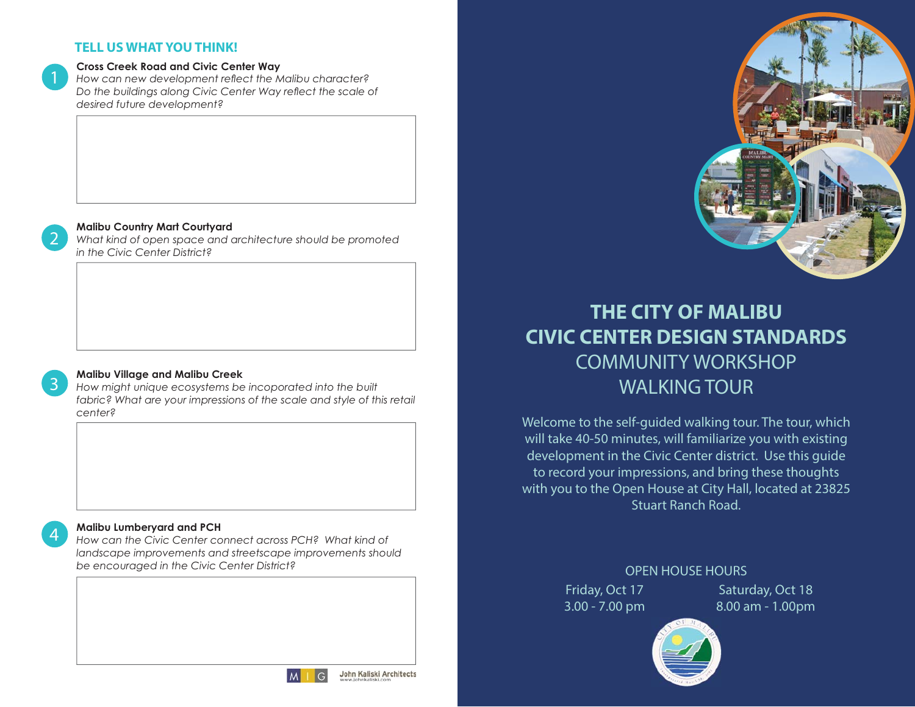#### **TELL US WHAT YOU THINK!**

#### Cross Creek Road and Civic Center Way

How can new development reflect the Malibu character? Do the buildings along Civic Center Way reflect the scale of desired future development?

#### Malibu Country Mart Courtyard

What kind of open space and architecture should be promoted *in the Civic Center District?* 

## 3

2

1

4

#### Malibu Village and Malibu Creek

How might unique ecosystems be incoporated into the built fabric? What are your impressions of the scale and style of this retail 

#### Malibu Lumberyard and PCH

How can the Civic Center connect across PCH? What kind of landscape improvements and streetscape improvements should be encouraged in the Civic Center District?



# **THE CITY OF MALIBUCIVIC CENTER DESIGN STANDARDS**COMMUNITY WORKSHOP WALKING TOUR

Welcome to the self-guided walking tour. The tour, which will take 40-50 minutes, will familiarize you with existing development in the Civic Center district. Use this guide to record your impressions, and bring these thoughts with you to the Open House at City Hall, located at 23825 Stuart Ranch Road.

> Friday, Oct 17 3.00 - 7.00 pm OPEN HOUSE HOURS

Saturday, Oct 18 8.00 am - 1.00pm